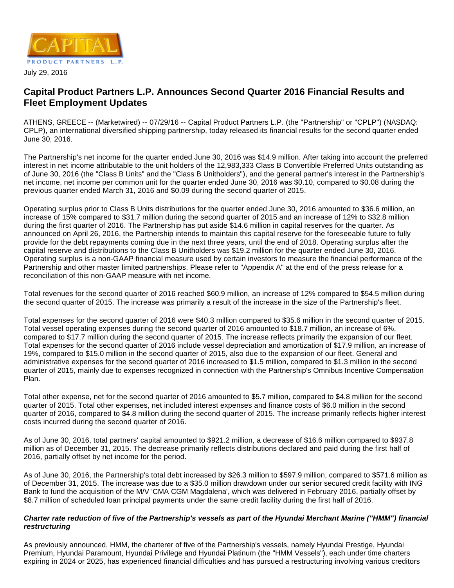

# **Capital Product Partners L.P. Announces Second Quarter 2016 Financial Results and Fleet Employment Updates**

ATHENS, GREECE -- (Marketwired) -- 07/29/16 -- Capital Product Partners L.P. (the "Partnership" or "CPLP") (NASDAQ: CPLP), an international diversified shipping partnership, today released its financial results for the second quarter ended June 30, 2016.

The Partnership's net income for the quarter ended June 30, 2016 was \$14.9 million. After taking into account the preferred interest in net income attributable to the unit holders of the 12,983,333 Class B Convertible Preferred Units outstanding as of June 30, 2016 (the "Class B Units" and the "Class B Unitholders"), and the general partner's interest in the Partnership's net income, net income per common unit for the quarter ended June 30, 2016 was \$0.10, compared to \$0.08 during the previous quarter ended March 31, 2016 and \$0.09 during the second quarter of 2015.

Operating surplus prior to Class B Units distributions for the quarter ended June 30, 2016 amounted to \$36.6 million, an increase of 15% compared to \$31.7 million during the second quarter of 2015 and an increase of 12% to \$32.8 million during the first quarter of 2016. The Partnership has put aside \$14.6 million in capital reserves for the quarter. As announced on April 26, 2016, the Partnership intends to maintain this capital reserve for the foreseeable future to fully provide for the debt repayments coming due in the next three years, until the end of 2018. Operating surplus after the capital reserve and distributions to the Class B Unitholders was \$19.2 million for the quarter ended June 30, 2016. Operating surplus is a non-GAAP financial measure used by certain investors to measure the financial performance of the Partnership and other master limited partnerships. Please refer to "Appendix A" at the end of the press release for a reconciliation of this non-GAAP measure with net income.

Total revenues for the second quarter of 2016 reached \$60.9 million, an increase of 12% compared to \$54.5 million during the second quarter of 2015. The increase was primarily a result of the increase in the size of the Partnership's fleet.

Total expenses for the second quarter of 2016 were \$40.3 million compared to \$35.6 million in the second quarter of 2015. Total vessel operating expenses during the second quarter of 2016 amounted to \$18.7 million, an increase of 6%, compared to \$17.7 million during the second quarter of 2015. The increase reflects primarily the expansion of our fleet. Total expenses for the second quarter of 2016 include vessel depreciation and amortization of \$17.9 million, an increase of 19%, compared to \$15.0 million in the second quarter of 2015, also due to the expansion of our fleet. General and administrative expenses for the second quarter of 2016 increased to \$1.5 million, compared to \$1.3 million in the second quarter of 2015, mainly due to expenses recognized in connection with the Partnership's Omnibus Incentive Compensation Plan.

Total other expense, net for the second quarter of 2016 amounted to \$5.7 million, compared to \$4.8 million for the second quarter of 2015. Total other expenses, net included interest expenses and finance costs of \$6.0 million in the second quarter of 2016, compared to \$4.8 million during the second quarter of 2015. The increase primarily reflects higher interest costs incurred during the second quarter of 2016.

As of June 30, 2016, total partners' capital amounted to \$921.2 million, a decrease of \$16.6 million compared to \$937.8 million as of December 31, 2015. The decrease primarily reflects distributions declared and paid during the first half of 2016, partially offset by net income for the period.

As of June 30, 2016, the Partnership's total debt increased by \$26.3 million to \$597.9 million, compared to \$571.6 million as of December 31, 2015. The increase was due to a \$35.0 million drawdown under our senior secured credit facility with ING Bank to fund the acquisition of the M/V 'CMA CGM Magdalena', which was delivered in February 2016, partially offset by \$8.7 million of scheduled loan principal payments under the same credit facility during the first half of 2016.

### **Charter rate reduction of five of the Partnership's vessels as part of the Hyundai Merchant Marine ("HMM") financial restructuring**

As previously announced, HMM, the charterer of five of the Partnership's vessels, namely Hyundai Prestige, Hyundai Premium, Hyundai Paramount, Hyundai Privilege and Hyundai Platinum (the "HMM Vessels"), each under time charters expiring in 2024 or 2025, has experienced financial difficulties and has pursued a restructuring involving various creditors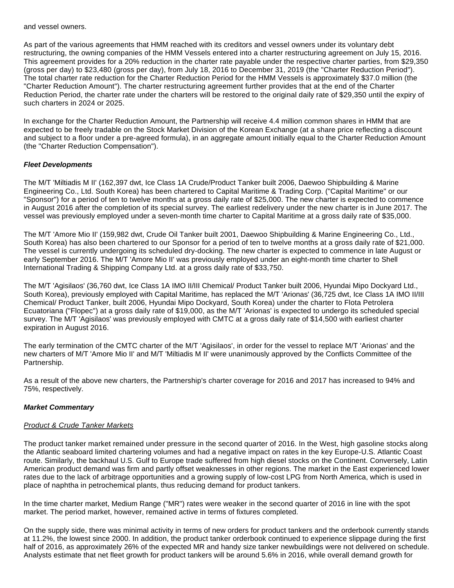#### and vessel owners.

As part of the various agreements that HMM reached with its creditors and vessel owners under its voluntary debt restructuring, the owning companies of the HMM Vessels entered into a charter restructuring agreement on July 15, 2016. This agreement provides for a 20% reduction in the charter rate payable under the respective charter parties, from \$29,350 (gross per day) to \$23,480 (gross per day), from July 18, 2016 to December 31, 2019 (the "Charter Reduction Period"). The total charter rate reduction for the Charter Reduction Period for the HMM Vessels is approximately \$37.0 million (the "Charter Reduction Amount"). The charter restructuring agreement further provides that at the end of the Charter Reduction Period, the charter rate under the charters will be restored to the original daily rate of \$29,350 until the expiry of such charters in 2024 or 2025.

In exchange for the Charter Reduction Amount, the Partnership will receive 4.4 million common shares in HMM that are expected to be freely tradable on the Stock Market Division of the Korean Exchange (at a share price reflecting a discount and subject to a floor under a pre-agreed formula), in an aggregate amount initially equal to the Charter Reduction Amount (the "Charter Reduction Compensation").

### **Fleet Developments**

The M/T 'Miltiadis M II' (162,397 dwt, Ice Class 1A Crude/Product Tanker built 2006, Daewoo Shipbuilding & Marine Engineering Co., Ltd. South Korea) has been chartered to Capital Maritime & Trading Corp. ("Capital Maritime" or our "Sponsor") for a period of ten to twelve months at a gross daily rate of \$25,000. The new charter is expected to commence in August 2016 after the completion of its special survey. The earliest redelivery under the new charter is in June 2017. The vessel was previously employed under a seven-month time charter to Capital Maritime at a gross daily rate of \$35,000.

The M/T 'Amore Mio II' (159,982 dwt, Crude Oil Tanker built 2001, Daewoo Shipbuilding & Marine Engineering Co., Ltd., South Korea) has also been chartered to our Sponsor for a period of ten to twelve months at a gross daily rate of \$21,000. The vessel is currently undergoing its scheduled dry-docking. The new charter is expected to commence in late August or early September 2016. The M/T 'Amore Mio II' was previously employed under an eight-month time charter to Shell International Trading & Shipping Company Ltd. at a gross daily rate of \$33,750.

The M/T 'Agisilaos' (36,760 dwt, Ice Class 1A IMO II/III Chemical/ Product Tanker built 2006, Hyundai Mipo Dockyard Ltd., South Korea), previously employed with Capital Maritime, has replaced the M/T 'Arionas' (36,725 dwt, Ice Class 1A IMO II/III Chemical/ Product Tanker, built 2006, Hyundai Mipo Dockyard, South Korea) under the charter to Flota Petrolera Ecuatoriana ("Flopec") at a gross daily rate of \$19,000, as the M/T 'Arionas' is expected to undergo its scheduled special survey. The M/T 'Agisilaos' was previously employed with CMTC at a gross daily rate of \$14,500 with earliest charter expiration in August 2016.

The early termination of the CMTC charter of the M/T 'Agisilaos', in order for the vessel to replace M/T 'Arionas' and the new charters of M/T 'Amore Mio II' and M/T 'Miltiadis M II' were unanimously approved by the Conflicts Committee of the Partnership.

As a result of the above new charters, the Partnership's charter coverage for 2016 and 2017 has increased to 94% and 75%, respectively.

### **Market Commentary**

### Product & Crude Tanker Markets

The product tanker market remained under pressure in the second quarter of 2016. In the West, high gasoline stocks along the Atlantic seaboard limited chartering volumes and had a negative impact on rates in the key Europe-U.S. Atlantic Coast route. Similarly, the backhaul U.S. Gulf to Europe trade suffered from high diesel stocks on the Continent. Conversely, Latin American product demand was firm and partly offset weaknesses in other regions. The market in the East experienced lower rates due to the lack of arbitrage opportunities and a growing supply of low-cost LPG from North America, which is used in place of naphtha in petrochemical plants, thus reducing demand for product tankers.

In the time charter market, Medium Range ("MR") rates were weaker in the second quarter of 2016 in line with the spot market. The period market, however, remained active in terms of fixtures completed.

On the supply side, there was minimal activity in terms of new orders for product tankers and the orderbook currently stands at 11.2%, the lowest since 2000. In addition, the product tanker orderbook continued to experience slippage during the first half of 2016, as approximately 26% of the expected MR and handy size tanker newbuildings were not delivered on schedule. Analysts estimate that net fleet growth for product tankers will be around 5.6% in 2016, while overall demand growth for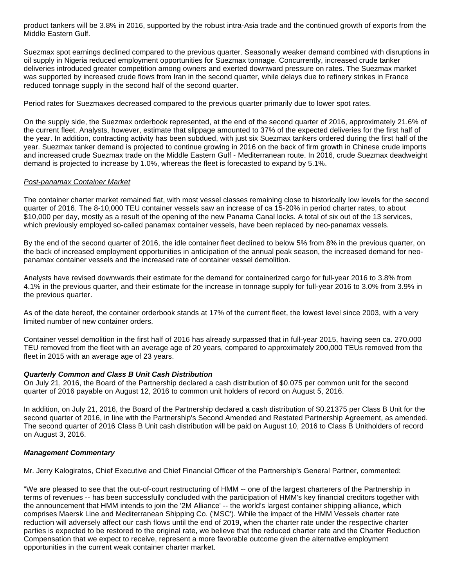product tankers will be 3.8% in 2016, supported by the robust intra-Asia trade and the continued growth of exports from the Middle Eastern Gulf.

Suezmax spot earnings declined compared to the previous quarter. Seasonally weaker demand combined with disruptions in oil supply in Nigeria reduced employment opportunities for Suezmax tonnage. Concurrently, increased crude tanker deliveries introduced greater competition among owners and exerted downward pressure on rates. The Suezmax market was supported by increased crude flows from Iran in the second quarter, while delays due to refinery strikes in France reduced tonnage supply in the second half of the second quarter.

Period rates for Suezmaxes decreased compared to the previous quarter primarily due to lower spot rates.

On the supply side, the Suezmax orderbook represented, at the end of the second quarter of 2016, approximately 21.6% of the current fleet. Analysts, however, estimate that slippage amounted to 37% of the expected deliveries for the first half of the year. In addition, contracting activity has been subdued, with just six Suezmax tankers ordered during the first half of the year. Suezmax tanker demand is projected to continue growing in 2016 on the back of firm growth in Chinese crude imports and increased crude Suezmax trade on the Middle Eastern Gulf - Mediterranean route. In 2016, crude Suezmax deadweight demand is projected to increase by 1.0%, whereas the fleet is forecasted to expand by 5.1%.

### Post-panamax Container Market

The container charter market remained flat, with most vessel classes remaining close to historically low levels for the second quarter of 2016. The 8-10,000 TEU container vessels saw an increase of ca 15-20% in period charter rates, to about \$10,000 per day, mostly as a result of the opening of the new Panama Canal locks. A total of six out of the 13 services, which previously employed so-called panamax container vessels, have been replaced by neo-panamax vessels.

By the end of the second quarter of 2016, the idle container fleet declined to below 5% from 8% in the previous quarter, on the back of increased employment opportunities in anticipation of the annual peak season, the increased demand for neopanamax container vessels and the increased rate of container vessel demolition.

Analysts have revised downwards their estimate for the demand for containerized cargo for full-year 2016 to 3.8% from 4.1% in the previous quarter, and their estimate for the increase in tonnage supply for full-year 2016 to 3.0% from 3.9% in the previous quarter.

As of the date hereof, the container orderbook stands at 17% of the current fleet, the lowest level since 2003, with a very limited number of new container orders.

Container vessel demolition in the first half of 2016 has already surpassed that in full-year 2015, having seen ca. 270,000 TEU removed from the fleet with an average age of 20 years, compared to approximately 200,000 TEUs removed from the fleet in 2015 with an average age of 23 years.

#### **Quarterly Common and Class B Unit Cash Distribution**

On July 21, 2016, the Board of the Partnership declared a cash distribution of \$0.075 per common unit for the second quarter of 2016 payable on August 12, 2016 to common unit holders of record on August 5, 2016.

In addition, on July 21, 2016, the Board of the Partnership declared a cash distribution of \$0.21375 per Class B Unit for the second quarter of 2016, in line with the Partnership's Second Amended and Restated Partnership Agreement, as amended. The second quarter of 2016 Class B Unit cash distribution will be paid on August 10, 2016 to Class B Unitholders of record on August 3, 2016.

### **Management Commentary**

Mr. Jerry Kalogiratos, Chief Executive and Chief Financial Officer of the Partnership's General Partner, commented:

"We are pleased to see that the out-of-court restructuring of HMM -- one of the largest charterers of the Partnership in terms of revenues -- has been successfully concluded with the participation of HMM's key financial creditors together with the announcement that HMM intends to join the '2M Alliance' -- the world's largest container shipping alliance, which comprises Maersk Line and Mediterranean Shipping Co. ('MSC'). While the impact of the HMM Vessels charter rate reduction will adversely affect our cash flows until the end of 2019, when the charter rate under the respective charter parties is expected to be restored to the original rate, we believe that the reduced charter rate and the Charter Reduction Compensation that we expect to receive, represent a more favorable outcome given the alternative employment opportunities in the current weak container charter market.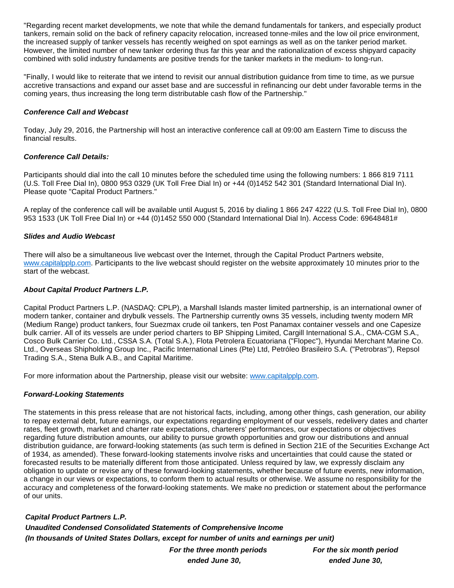"Regarding recent market developments, we note that while the demand fundamentals for tankers, and especially product tankers, remain solid on the back of refinery capacity relocation, increased tonne-miles and the low oil price environment, the increased supply of tanker vessels has recently weighed on spot earnings as well as on the tanker period market. However, the limited number of new tanker ordering thus far this year and the rationalization of excess shipyard capacity combined with solid industry fundaments are positive trends for the tanker markets in the medium- to long-run.

"Finally, I would like to reiterate that we intend to revisit our annual distribution guidance from time to time, as we pursue accretive transactions and expand our asset base and are successful in refinancing our debt under favorable terms in the coming years, thus increasing the long term distributable cash flow of the Partnership."

### **Conference Call and Webcast**

Today, July 29, 2016, the Partnership will host an interactive conference call at 09:00 am Eastern Time to discuss the financial results.

### **Conference Call Details:**

Participants should dial into the call 10 minutes before the scheduled time using the following numbers: 1 866 819 7111 (U.S. Toll Free Dial In), 0800 953 0329 (UK Toll Free Dial In) or +44 (0)1452 542 301 (Standard International Dial In). Please quote "Capital Product Partners."

A replay of the conference call will be available until August 5, 2016 by dialing 1 866 247 4222 (U.S. Toll Free Dial In), 0800 953 1533 (UK Toll Free Dial In) or +44 (0)1452 550 000 (Standard International Dial In). Access Code: 69648481#

### **Slides and Audio Webcast**

There will also be a simultaneous live webcast over the Internet, through the Capital Product Partners website, [www.capitalpplp.com.](http://www.capitalpplp.com/) Participants to the live webcast should register on the website approximately 10 minutes prior to the start of the webcast.

### **About Capital Product Partners L.P.**

Capital Product Partners L.P. (NASDAQ: CPLP), a Marshall Islands master limited partnership, is an international owner of modern tanker, container and drybulk vessels. The Partnership currently owns 35 vessels, including twenty modern MR (Medium Range) product tankers, four Suezmax crude oil tankers, ten Post Panamax container vessels and one Capesize bulk carrier. All of its vessels are under period charters to BP Shipping Limited, Cargill International S.A., CMA-CGM S.A., Cosco Bulk Carrier Co. Ltd., CSSA S.A. (Total S.A.), Flota Petrolera Ecuatoriana ("Flopec"), Hyundai Merchant Marine Co. Ltd., Overseas Shipholding Group Inc., Pacific International Lines (Pte) Ltd, Petróleo Brasileiro S.A. ("Petrobras"), Repsol Trading S.A., Stena Bulk A.B., and Capital Maritime.

For more information about the Partnership, please visit our website: [www.capitalpplp.com.](http://www.capitalpplp.com/)

### **Forward-Looking Statements**

The statements in this press release that are not historical facts, including, among other things, cash generation, our ability to repay external debt, future earnings, our expectations regarding employment of our vessels, redelivery dates and charter rates, fleet growth, market and charter rate expectations, charterers' performances, our expectations or objectives regarding future distribution amounts, our ability to pursue growth opportunities and grow our distributions and annual distribution guidance, are forward-looking statements (as such term is defined in Section 21E of the Securities Exchange Act of 1934, as amended). These forward-looking statements involve risks and uncertainties that could cause the stated or forecasted results to be materially different from those anticipated. Unless required by law, we expressly disclaim any obligation to update or revise any of these forward-looking statements, whether because of future events, new information, a change in our views or expectations, to conform them to actual results or otherwise. We assume no responsibility for the accuracy and completeness of the forward-looking statements. We make no prediction or statement about the performance of our units.

**Capital Product Partners L.P. Unaudited Condensed Consolidated Statements of Comprehensive Income (In thousands of United States Dollars, except for number of units and earnings per unit) For the three month periods For the six month period**

**ended June 30, ended June 30,**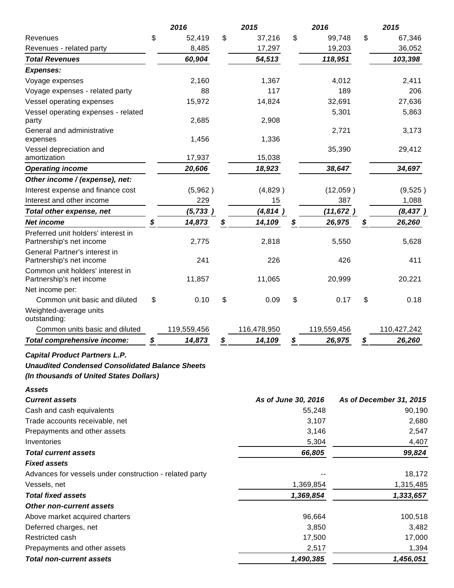|                                                                                                                                                            | 2016         | 2015                | 2016         |    | 2015                    |
|------------------------------------------------------------------------------------------------------------------------------------------------------------|--------------|---------------------|--------------|----|-------------------------|
| Revenues                                                                                                                                                   | \$<br>52,419 | \$<br>37,216        | \$<br>99,748 | \$ | 67,346                  |
| Revenues - related party                                                                                                                                   | 8,485        | 17,297              | 19,203       |    | 36,052                  |
| <b>Total Revenues</b>                                                                                                                                      | 60,904       | 54,513              | 118,951      |    | 103,398                 |
| <b>Expenses:</b>                                                                                                                                           |              |                     |              |    |                         |
| Voyage expenses                                                                                                                                            | 2,160        | 1,367               | 4,012        |    | 2,411                   |
| Voyage expenses - related party                                                                                                                            | 88           | 117                 | 189          |    | 206                     |
| Vessel operating expenses                                                                                                                                  | 15,972       | 14,824              | 32,691       |    | 27,636                  |
| Vessel operating expenses - related                                                                                                                        |              |                     | 5,301        |    | 5,863                   |
| party                                                                                                                                                      | 2,685        | 2,908               |              |    |                         |
| General and administrative<br>expenses                                                                                                                     | 1,456        | 1,336               | 2,721        |    | 3,173                   |
| Vessel depreciation and<br>amortization                                                                                                                    | 17,937       | 15,038              | 35,390       |    | 29,412                  |
| <b>Operating income</b>                                                                                                                                    | 20,606       | 18,923              | 38,647       |    | 34,697                  |
| Other income / (expense), net:                                                                                                                             |              |                     |              |    |                         |
| Interest expense and finance cost                                                                                                                          | (5,962)      | (4,829)             | (12,059)     |    | (9,525)                 |
| Interest and other income                                                                                                                                  | 229          | 15                  | 387          |    | 1,088                   |
| Total other expense, net                                                                                                                                   | (5, 733)     | (4,814)             | (11, 672)    |    | (8, 437)                |
| <b>Net income</b>                                                                                                                                          | \$<br>14,873 | \$<br>14,109        | \$<br>26,975 | S  | 26,260                  |
| Preferred unit holders' interest in<br>Partnership's net income                                                                                            | 2,775        | 2,818               | 5,550        |    | 5,628                   |
| General Partner's interest in<br>Partnership's net income                                                                                                  | 241          | 226                 | 426          |    | 411                     |
| Common unit holders' interest in<br>Partnership's net income                                                                                               | 11,857       | 11,065              | 20,999       |    | 20,221                  |
| Net income per:                                                                                                                                            |              |                     |              |    |                         |
| Common unit basic and diluted<br>Weighted-average units<br>outstanding:                                                                                    | \$<br>0.10   | \$<br>0.09          | \$<br>0.17   | \$ | 0.18                    |
| Common units basic and diluted                                                                                                                             | 119,559,456  | 116,478,950         | 119,559,456  |    | 110,427,242             |
| Total comprehensive income:                                                                                                                                | \$<br>14,873 | \$<br>14,109        | \$<br>26,975 | \$ | 26,260                  |
| <b>Capital Product Partners L.P.</b><br><b>Unaudited Condensed Consolidated Balance Sheets</b><br>(In thousands of United States Dollars)<br><b>Assets</b> |              |                     |              |    |                         |
| <b>Current assets</b>                                                                                                                                      |              | As of June 30, 2016 |              |    | As of December 31, 2015 |
| Cash and cash equivalents                                                                                                                                  |              |                     | 55,248       |    | 90,190                  |
| Trade accounts receivable, net                                                                                                                             |              |                     | 3,107        |    | 2,680                   |
| Prepayments and other assets                                                                                                                               |              |                     | 3,146        |    | 2,547                   |
| Inventories                                                                                                                                                |              |                     | 5,304        |    | 4,407                   |
| <b>Total current assets</b>                                                                                                                                |              |                     | 66,805       |    | 99,824                  |
| <b>Fixed assets</b>                                                                                                                                        |              |                     |              |    |                         |
|                                                                                                                                                            |              |                     |              |    |                         |
| Advances for vessels under construction - related party                                                                                                    |              |                     |              |    | 18,172                  |
| Vessels, net                                                                                                                                               |              |                     | 1,369,854    |    | 1,315,485               |
| <b>Total fixed assets</b>                                                                                                                                  |              |                     | 1,369,854    |    | 1,333,657               |
| <b>Other non-current assets</b>                                                                                                                            |              |                     |              |    |                         |
| Above market acquired charters                                                                                                                             |              |                     | 96,664       |    | 100,518                 |
| Deferred charges, net                                                                                                                                      |              |                     | 3,850        |    | 3,482                   |
| Restricted cash                                                                                                                                            |              |                     | 17,500       |    | 17,000                  |
| Prepayments and other assets                                                                                                                               |              |                     | 2,517        |    | 1,394                   |
| <b>Total non-current assets</b>                                                                                                                            |              |                     | 1,490,385    |    | 1,456,051               |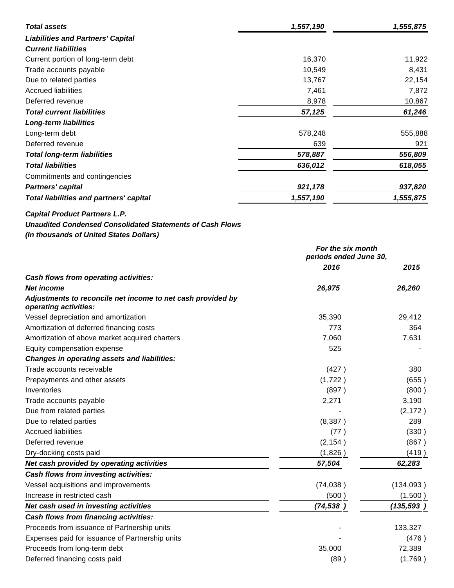| <b>Total assets</b>                            | 1,557,190 | 1,555,875 |
|------------------------------------------------|-----------|-----------|
| <b>Liabilities and Partners' Capital</b>       |           |           |
| <b>Current liabilities</b>                     |           |           |
| Current portion of long-term debt              | 16,370    | 11,922    |
| Trade accounts payable                         | 10,549    | 8,431     |
| Due to related parties                         | 13,767    | 22,154    |
| Accrued liabilities                            | 7,461     | 7,872     |
| Deferred revenue                               | 8,978     | 10,867    |
| <b>Total current liabilities</b>               | 57,125    | 61,246    |
| Long-term liabilities                          |           |           |
| Long-term debt                                 | 578,248   | 555,888   |
| Deferred revenue                               | 639       | 921       |
| <b>Total long-term liabilities</b>             | 578,887   | 556,809   |
| <b>Total liabilities</b>                       | 636,012   | 618,055   |
| Commitments and contingencies                  |           |           |
| <b>Partners' capital</b>                       | 921,178   | 937,820   |
| <b>Total liabilities and partners' capital</b> | 1,557,190 | 1,555,875 |

# **Capital Product Partners L.P.**

**Unaudited Condensed Consolidated Statements of Cash Flows**

**(In thousands of United States Dollars)**

|                                                                                      | For the six month<br>periods ended June 30, |            |  |
|--------------------------------------------------------------------------------------|---------------------------------------------|------------|--|
|                                                                                      | 2016                                        | 2015       |  |
| Cash flows from operating activities:                                                |                                             |            |  |
| <b>Net income</b>                                                                    | 26,975                                      | 26,260     |  |
| Adjustments to reconcile net income to net cash provided by<br>operating activities: |                                             |            |  |
| Vessel depreciation and amortization                                                 | 35,390                                      | 29,412     |  |
| Amortization of deferred financing costs                                             | 773                                         | 364        |  |
| Amortization of above market acquired charters                                       | 7,060                                       | 7,631      |  |
| Equity compensation expense                                                          | 525                                         |            |  |
| <b>Changes in operating assets and liabilities:</b>                                  |                                             |            |  |
| Trade accounts receivable                                                            | (427)                                       | 380        |  |
| Prepayments and other assets                                                         | (1,722)                                     | (655)      |  |
| Inventories                                                                          | (897)                                       | (800)      |  |
| Trade accounts payable                                                               | 2,271                                       | 3,190      |  |
| Due from related parties                                                             |                                             | (2, 172)   |  |
| Due to related parties                                                               | (8, 387)                                    | 289        |  |
| <b>Accrued liabilities</b>                                                           | (77)                                        | (330)      |  |
| Deferred revenue                                                                     | (2, 154)                                    | (867)      |  |
| Dry-docking costs paid                                                               | (1,826)                                     | (419)      |  |
| Net cash provided by operating activities                                            | 57,504                                      | 62,283     |  |
| Cash flows from investing activities:                                                |                                             |            |  |
| Vessel acquisitions and improvements                                                 | (74, 038)                                   | (134, 093) |  |
| Increase in restricted cash                                                          | (500)                                       | (1,500)    |  |
| Net cash used in investing activities                                                | (74, 538)                                   | (135, 593) |  |
| Cash flows from financing activities:                                                |                                             |            |  |
| Proceeds from issuance of Partnership units                                          |                                             | 133,327    |  |
| Expenses paid for issuance of Partnership units                                      |                                             | (476)      |  |
| Proceeds from long-term debt                                                         | 35,000                                      | 72,389     |  |
| Deferred financing costs paid                                                        | (89                                         | (1,769)    |  |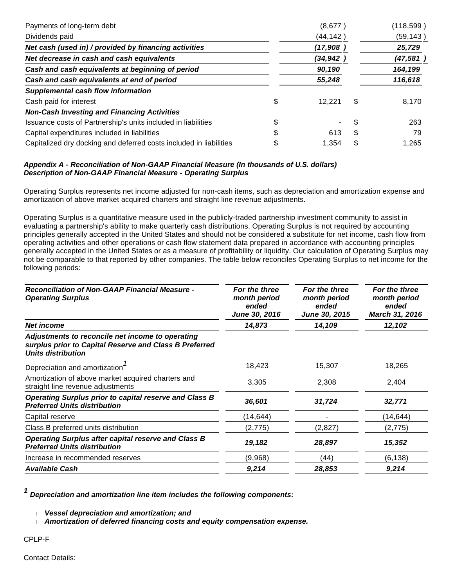| Payments of long-term debt                                         |    | (8,677)   |    | (118, 599) |
|--------------------------------------------------------------------|----|-----------|----|------------|
| Dividends paid                                                     |    | (44, 142) |    | (59, 143)  |
| Net cash (used in) / provided by financing activities              |    | (17,908)  |    | 25,729     |
| Net decrease in cash and cash equivalents                          |    | (34, 942) |    | (47,581)   |
| Cash and cash equivalents at beginning of period                   |    | 90,190    |    | 164,199    |
| Cash and cash equivalents at end of period                         |    | 55,248    |    | 116,618    |
| <b>Supplemental cash flow information</b>                          |    |           |    |            |
| Cash paid for interest                                             | \$ | 12.221    | S  | 8,170      |
| <b>Non-Cash Investing and Financing Activities</b>                 |    |           |    |            |
| Issuance costs of Partnership's units included in liabilities      |    |           |    | 263        |
| Capital expenditures included in liabilities                       |    | 613       | æ. | 79         |
| Capitalized dry docking and deferred costs included in liabilities |    | 1.354     |    | 1.265      |

### **Appendix A - Reconciliation of Non-GAAP Financial Measure (In thousands of U.S. dollars) Description of Non-GAAP Financial Measure - Operating Surplus**

Operating Surplus represents net income adjusted for non-cash items, such as depreciation and amortization expense and amortization of above market acquired charters and straight line revenue adjustments.

Operating Surplus is a quantitative measure used in the publicly-traded partnership investment community to assist in evaluating a partnership's ability to make quarterly cash distributions. Operating Surplus is not required by accounting principles generally accepted in the United States and should not be considered a substitute for net income, cash flow from operating activities and other operations or cash flow statement data prepared in accordance with accounting principles generally accepted in the United States or as a measure of profitability or liquidity. Our calculation of Operating Surplus may not be comparable to that reported by other companies. The table below reconciles Operating Surplus to net income for the following periods:

| <b>Reconciliation of Non-GAAP Financial Measure -</b><br><b>Operating Surplus</b>                                                       | For the three<br>month period<br>ended<br>June 30, 2016 | For the three<br>month period<br>ended<br>June 30, 2015 | For the three<br>month period<br>ended<br>March 31, 2016 |  |
|-----------------------------------------------------------------------------------------------------------------------------------------|---------------------------------------------------------|---------------------------------------------------------|----------------------------------------------------------|--|
| Net income                                                                                                                              | 14,873                                                  | 14,109                                                  | 12,102                                                   |  |
| Adjustments to reconcile net income to operating<br>surplus prior to Capital Reserve and Class B Preferred<br><b>Units distribution</b> |                                                         |                                                         |                                                          |  |
| Depreciation and amortization                                                                                                           | 18,423                                                  | 15,307                                                  | 18,265                                                   |  |
| Amortization of above market acquired charters and<br>straight line revenue adjustments                                                 | 3,305                                                   | 2,308                                                   | 2,404                                                    |  |
| Operating Surplus prior to capital reserve and Class B<br><b>Preferred Units distribution</b>                                           | 36,601                                                  | 31,724                                                  | 32,771                                                   |  |
| Capital reserve                                                                                                                         | (14,644)                                                |                                                         | (14, 644)                                                |  |
| Class B preferred units distribution                                                                                                    | (2, 775)                                                | (2,827)                                                 | (2, 775)                                                 |  |
| <b>Operating Surplus after capital reserve and Class B</b><br><b>Preferred Units distribution</b>                                       | 19,182                                                  | 28,897                                                  | 15,352                                                   |  |
| Increase in recommended reserves                                                                                                        | (9,968)                                                 | (44)                                                    | (6, 138)                                                 |  |
| <b>Available Cash</b>                                                                                                                   | 9,214                                                   | 28,853                                                  | 9,214                                                    |  |

**1 Depreciation and amortization line item includes the following components:**

**Vessel depreciation and amortization; and**

**Amortization of deferred financing costs and equity compensation expense.**

CPLP-F